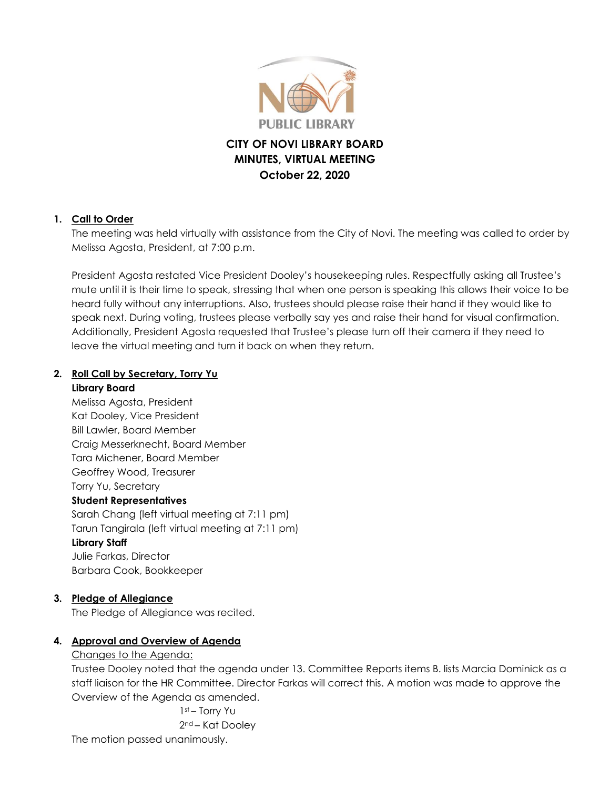

# **CITY OF NOVI LIBRARY BOARD MINUTES, VIRTUAL MEETING October 22, 2020**

### **1. Call to Order**

The meeting was held virtually with assistance from the City of Novi. The meeting was called to order by Melissa Agosta, President, at 7:00 p.m.

President Agosta restated Vice President Dooley's housekeeping rules. Respectfully asking all Trustee's mute until it is their time to speak, stressing that when one person is speaking this allows their voice to be heard fully without any interruptions. Also, trustees should please raise their hand if they would like to speak next. During voting, trustees please verbally say yes and raise their hand for visual confirmation. Additionally, President Agosta requested that Trustee's please turn off their camera if they need to leave the virtual meeting and turn it back on when they return.

# **2. Roll Call by Secretary, Torry Yu**

#### **Library Board**

Melissa Agosta, President Kat Dooley, Vice President Bill Lawler, Board Member Craig Messerknecht, Board Member Tara Michener, Board Member Geoffrey Wood, Treasurer Torry Yu, Secretary **Student Representatives** Sarah Chang (left virtual meeting at 7:11 pm) Tarun Tangirala (left virtual meeting at 7:11 pm) **Library Staff** Julie Farkas, Director Barbara Cook, Bookkeeper

### **3. Pledge of Allegiance**

The Pledge of Allegiance was recited.

### **4. Approval and Overview of Agenda**

### Changes to the Agenda:

Trustee Dooley noted that the agenda under 13. Committee Reports items B. lists Marcia Dominick as a staff liaison for the HR Committee. Director Farkas will correct this. A motion was made to approve the Overview of the Agenda as amended.

> 1st – Torry Yu 2nd – Kat Dooley

The motion passed unanimously.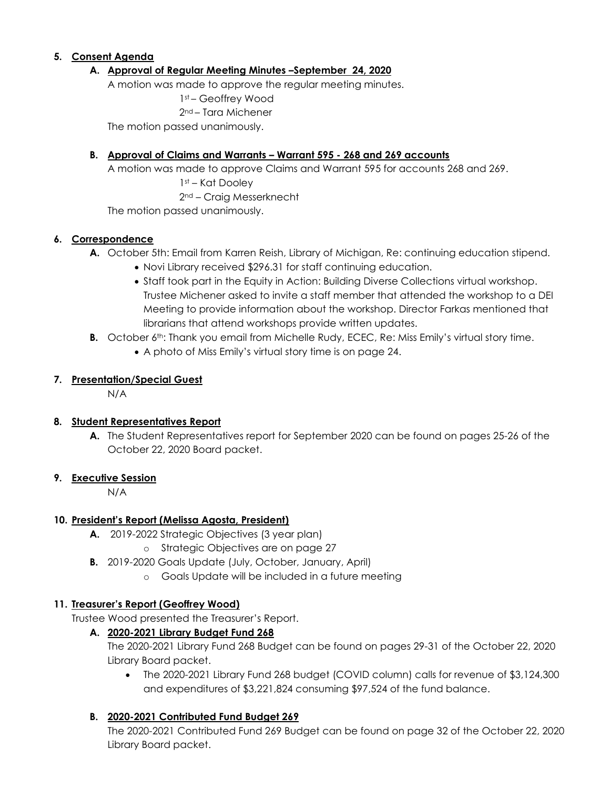### **5. Consent Agenda**

### **A. Approval of Regular Meeting Minutes –September 24, 2020**

A motion was made to approve the regular meeting minutes.

1st – Geoffrey Wood

2nd – Tara Michener

The motion passed unanimously.

#### **B. Approval of Claims and Warrants – Warrant 595 - 268 and 269 accounts**

A motion was made to approve Claims and Warrant 595 for accounts 268 and 269. 1st – Kat Dooley

2nd – Craig Messerknecht

The motion passed unanimously.

#### **6. Correspondence**

- **A.** October 5th: Email from Karren Reish, Library of Michigan, Re: continuing education stipend.
	- Novi Library received \$296.31 for staff continuing education.
	- Staff took part in the Equity in Action: Building Diverse Collections virtual workshop. Trustee Michener asked to invite a staff member that attended the workshop to a DEI Meeting to provide information about the workshop. Director Farkas mentioned that librarians that attend workshops provide written updates.
- **B.** October 6<sup>th</sup>: Thank you email from Michelle Rudy, ECEC, Re: Miss Emily's virtual story time.
	- A photo of Miss Emily's virtual story time is on page 24.

#### **7. Presentation/Special Guest**

N/A

### **8. Student Representatives Report**

**A.** The Student Representatives report for September 2020 can be found on pages 25-26 of the October 22, 2020 Board packet.

#### **9. Executive Session**

N/A

### **10. President's Report (Melissa Agosta, President)**

- **A.** 2019-2022 Strategic Objectives (3 year plan)
	- o Strategic Objectives are on page 27
- **B.** 2019-2020 Goals Update (July, October, January, April)
	- o Goals Update will be included in a future meeting

#### **11. Treasurer's Report (Geoffrey Wood)**

Trustee Wood presented the Treasurer's Report.

#### **A. 2020-2021 Library Budget Fund 268**

The 2020-2021 Library Fund 268 Budget can be found on pages 29-31 of the October 22, 2020 Library Board packet.

 The 2020-2021 Library Fund 268 budget (COVID column) calls for revenue of \$3,124,300 and expenditures of \$3,221,824 consuming \$97,524 of the fund balance.

### **B. 2020-2021 Contributed Fund Budget 269**

The 2020-2021 Contributed Fund 269 Budget can be found on page 32 of the October 22, 2020 Library Board packet.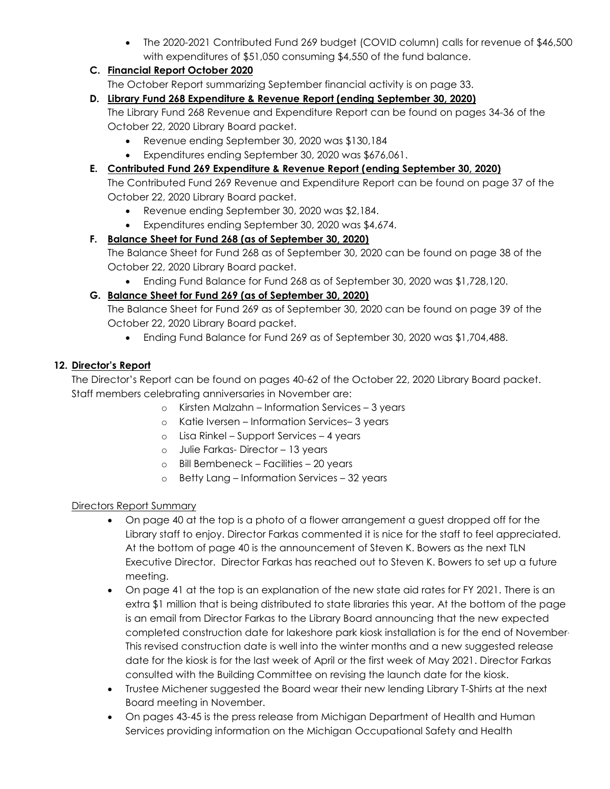The 2020-2021 Contributed Fund 269 budget (COVID column) calls for revenue of \$46,500 with expenditures of \$51,050 consuming \$4,550 of the fund balance.

# **C. Financial Report October 2020**

The October Report summarizing September financial activity is on page 33.

### **D. Library Fund 268 Expenditure & Revenue Report (ending September 30, 2020)**

The Library Fund 268 Revenue and Expenditure Report can be found on pages 34-36 of the October 22, 2020 Library Board packet.

- Revenue ending September 30, 2020 was \$130,184
- Expenditures ending September 30, 2020 was \$676,061.

### **E. Contributed Fund 269 Expenditure & Revenue Report (ending September 30, 2020)**

The Contributed Fund 269 Revenue and Expenditure Report can be found on page 37 of the October 22, 2020 Library Board packet.

- Revenue ending September 30, 2020 was \$2,184.
- Expenditures ending September 30, 2020 was \$4,674.

### **F. Balance Sheet for Fund 268 (as of September 30, 2020)**

The Balance Sheet for Fund 268 as of September 30, 2020 can be found on page 38 of the October 22, 2020 Library Board packet.

Ending Fund Balance for Fund 268 as of September 30, 2020 was \$1,728,120.

### **G. Balance Sheet for Fund 269 (as of September 30, 2020)**

The Balance Sheet for Fund 269 as of September 30, 2020 can be found on page 39 of the October 22, 2020 Library Board packet.

Ending Fund Balance for Fund 269 as of September 30, 2020 was \$1,704,488.

### **12. Director's Report**

The Director's Report can be found on pages 40-62 of the October 22, 2020 Library Board packet. Staff members celebrating anniversaries in November are:

- o Kirsten Malzahn Information Services 3 years
- o Katie Iversen Information Services– 3 years
- o Lisa Rinkel Support Services 4 years
- o Julie Farkas- Director 13 years
- o Bill Bembeneck Facilities 20 years
- o Betty Lang Information Services 32 years

### Directors Report Summary

- On page 40 at the top is a photo of a flower arrangement a guest dropped off for the Library staff to enjoy. Director Farkas commented it is nice for the staff to feel appreciated. At the bottom of page 40 is the announcement of Steven K. Bowers as the next TLN Executive Director. Director Farkas has reached out to Steven K. Bowers to set up a future meeting.
- On page 41 at the top is an explanation of the new state aid rates for FY 2021. There is an extra \$1 million that is being distributed to state libraries this year. At the bottom of the page is an email from Director Farkas to the Library Board announcing that the new expected completed construction date for lakeshore park kiosk installation is for the end of November, This revised construction date is well into the winter months and a new suggested release date for the kiosk is for the last week of April or the first week of May 2021. Director Farkas consulted with the Building Committee on revising the launch date for the kiosk.
- Trustee Michener suggested the Board wear their new lending Library T-Shirts at the next Board meeting in November.
- On pages 43-45 is the press release from Michigan Department of Health and Human Services providing information on the Michigan Occupational Safety and Health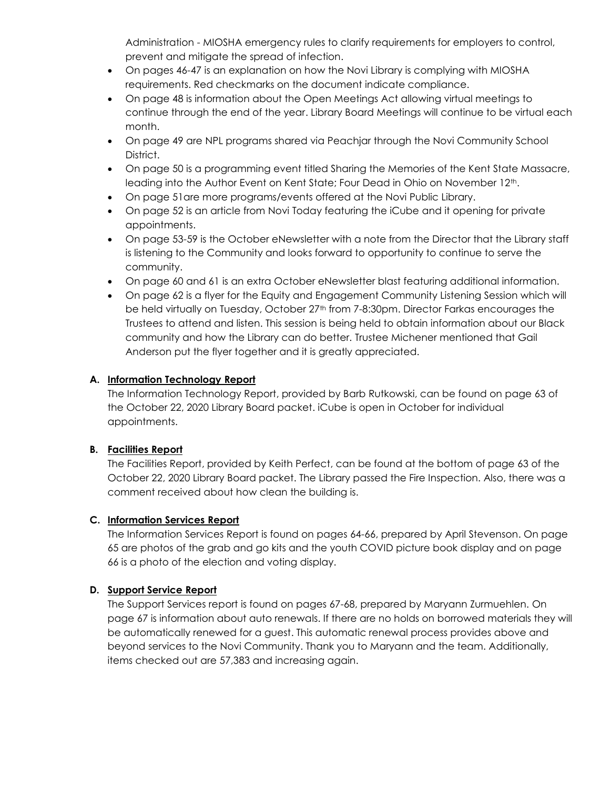Administration - MIOSHA emergency rules to clarify requirements for employers to control, prevent and mitigate the spread of infection.

- On pages 46-47 is an explanation on how the Novi Library is complying with MIOSHA requirements. Red checkmarks on the document indicate compliance.
- On page 48 is information about the Open Meetings Act allowing virtual meetings to continue through the end of the year. Library Board Meetings will continue to be virtual each month.
- On page 49 are NPL programs shared via Peachjar through the Novi Community School District.
- On page 50 is a programming event titled Sharing the Memories of the Kent State Massacre, leading into the Author Event on Kent State; Four Dead in Ohio on November 12th.
- On page 51are more programs/events offered at the Novi Public Library.
- On page 52 is an article from Novi Today featuring the iCube and it opening for private appointments.
- On page 53-59 is the October eNewsletter with a note from the Director that the Library staff is listening to the Community and looks forward to opportunity to continue to serve the community.
- On page 60 and 61 is an extra October eNewsletter blast featuring additional information.
- On page 62 is a flyer for the Equity and Engagement Community Listening Session which will be held virtually on Tuesday, October 27<sup>th</sup> from 7-8:30pm. Director Farkas encourages the Trustees to attend and listen. This session is being held to obtain information about our Black community and how the Library can do better. Trustee Michener mentioned that Gail Anderson put the flyer together and it is greatly appreciated.

# **A. Information Technology Report**

The Information Technology Report, provided by Barb Rutkowski, can be found on page 63 of the October 22, 2020 Library Board packet. iCube is open in October for individual appointments.

# **B. Facilities Report**

The Facilities Report, provided by Keith Perfect, can be found at the bottom of page 63 of the October 22, 2020 Library Board packet. The Library passed the Fire Inspection. Also, there was a comment received about how clean the building is.

# **C. Information Services Report**

The Information Services Report is found on pages 64-66, prepared by April Stevenson. On page 65 are photos of the grab and go kits and the youth COVID picture book display and on page 66 is a photo of the election and voting display.

# **D. Support Service Report**

The Support Services report is found on pages 67-68, prepared by Maryann Zurmuehlen. On page 67 is information about auto renewals. If there are no holds on borrowed materials they will be automatically renewed for a guest. This automatic renewal process provides above and beyond services to the Novi Community. Thank you to Maryann and the team. Additionally, items checked out are 57,383 and increasing again.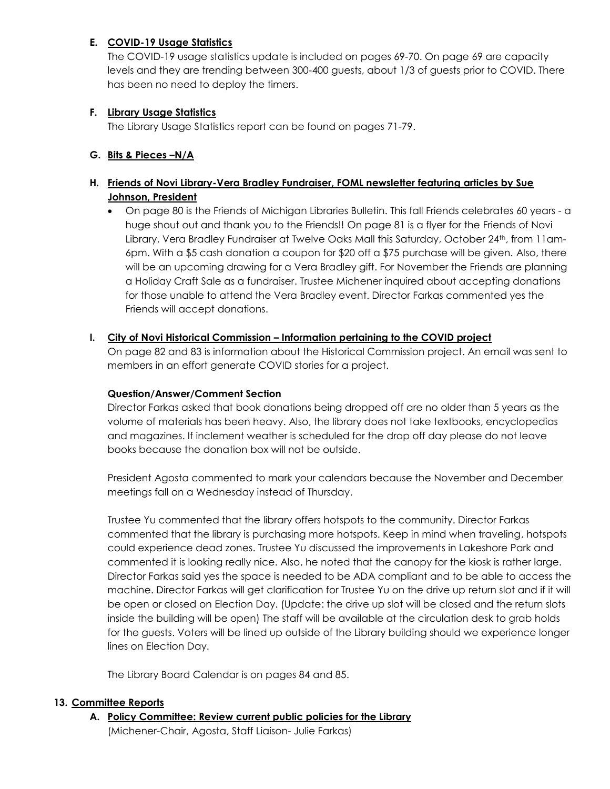### **E. COVID-19 Usage Statistics**

The COVID-19 usage statistics update is included on pages 69-70. On page 69 are capacity levels and they are trending between 300-400 guests, about 1/3 of guests prior to COVID. There has been no need to deploy the timers.

### **F. Library Usage Statistics**

The Library Usage Statistics report can be found on pages 71-79.

### **G. Bits & Pieces –N/A**

# **H. Friends of Novi Library-Vera Bradley Fundraiser, FOML newsletter featuring articles by Sue Johnson, President**

 On page 80 is the Friends of Michigan Libraries Bulletin. This fall Friends celebrates 60 years - a huge shout out and thank you to the Friends!! On page 81 is a flyer for the Friends of Novi Library, Vera Bradley Fundraiser at Twelve Oaks Mall this Saturday, October 24th, from 11am-6pm. With a \$5 cash donation a coupon for \$20 off a \$75 purchase will be given. Also, there will be an upcoming drawing for a Vera Bradley gift. For November the Friends are planning a Holiday Craft Sale as a fundraiser. Trustee Michener inquired about accepting donations for those unable to attend the Vera Bradley event. Director Farkas commented yes the Friends will accept donations.

### **I. City of Novi Historical Commission – Information pertaining to the COVID project**

On page 82 and 83 is information about the Historical Commission project. An email was sent to members in an effort generate COVID stories for a project.

### **Question/Answer/Comment Section**

Director Farkas asked that book donations being dropped off are no older than 5 years as the volume of materials has been heavy. Also, the library does not take textbooks, encyclopedias and magazines. If inclement weather is scheduled for the drop off day please do not leave books because the donation box will not be outside.

President Agosta commented to mark your calendars because the November and December meetings fall on a Wednesday instead of Thursday.

Trustee Yu commented that the library offers hotspots to the community. Director Farkas commented that the library is purchasing more hotspots. Keep in mind when traveling, hotspots could experience dead zones. Trustee Yu discussed the improvements in Lakeshore Park and commented it is looking really nice. Also, he noted that the canopy for the kiosk is rather large. Director Farkas said yes the space is needed to be ADA compliant and to be able to access the machine. Director Farkas will get clarification for Trustee Yu on the drive up return slot and if it will be open or closed on Election Day. (Update: the drive up slot will be closed and the return slots inside the building will be open) The staff will be available at the circulation desk to grab holds for the guests. Voters will be lined up outside of the Library building should we experience longer lines on Election Day.

The Library Board Calendar is on pages 84 and 85.

### **13. Committee Reports**

**A. Policy Committee: Review current public policies for the Library** (Michener-Chair, Agosta, Staff Liaison- Julie Farkas)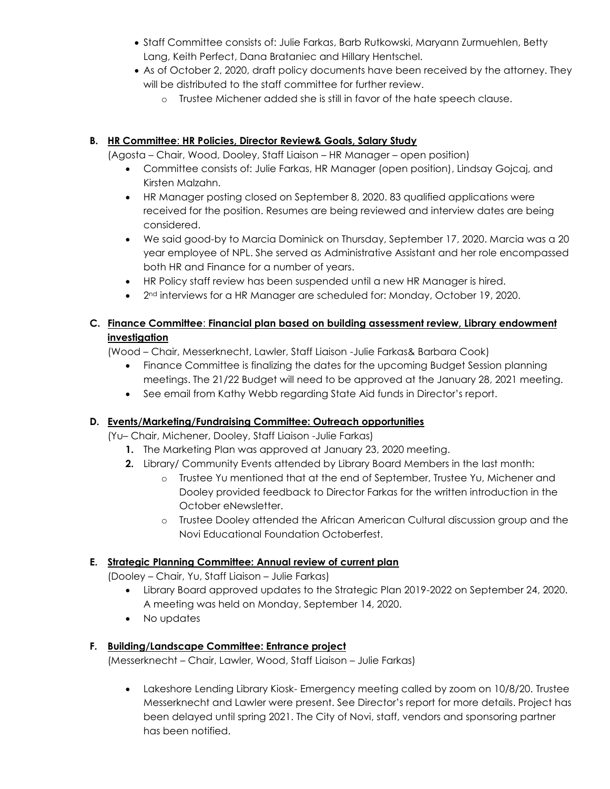- Staff Committee consists of: Julie Farkas, Barb Rutkowski, Maryann Zurmuehlen, Betty Lang, Keith Perfect, Dana Brataniec and Hillary Hentschel.
- As of October 2, 2020, draft policy documents have been received by the attorney. They will be distributed to the staff committee for further review.
	- o Trustee Michener added she is still in favor of the hate speech clause.

# **B. HR Committee**: **HR Policies, Director Review& Goals, Salary Study**

(Agosta – Chair, Wood, Dooley, Staff Liaison – HR Manager – open position)

- Committee consists of: Julie Farkas, HR Manager (open position), Lindsay Gojcaj, and Kirsten Malzahn.
- HR Manager posting closed on September 8, 2020. 83 qualified applications were received for the position. Resumes are being reviewed and interview dates are being considered.
- We said good-by to Marcia Dominick on Thursday, September 17, 2020. Marcia was a 20 year employee of NPL. She served as Administrative Assistant and her role encompassed both HR and Finance for a number of years.
- HR Policy staff review has been suspended until a new HR Manager is hired.
- 2<sup>nd</sup> interviews for a HR Manager are scheduled for: Monday, October 19, 2020.

# **C. Finance Committee**: **Financial plan based on building assessment review, Library endowment investigation**

(Wood – Chair, Messerknecht, Lawler, Staff Liaison -Julie Farkas& Barbara Cook)

- Finance Committee is finalizing the dates for the upcoming Budget Session planning meetings. The 21/22 Budget will need to be approved at the January 28, 2021 meeting.
- See email from Kathy Webb regarding State Aid funds in Director's report.

# **D. Events/Marketing/Fundraising Committee: Outreach opportunities**

(Yu– Chair, Michener, Dooley, Staff Liaison -Julie Farkas)

- **1.** The Marketing Plan was approved at January 23, 2020 meeting.
- **2.** Library/ Community Events attended by Library Board Members in the last month:
	- o Trustee Yu mentioned that at the end of September, Trustee Yu, Michener and Dooley provided feedback to Director Farkas for the written introduction in the October eNewsletter.
	- o Trustee Dooley attended the African American Cultural discussion group and the Novi Educational Foundation Octoberfest.

# **E. Strategic Planning Committee: Annual review of current plan**

(Dooley – Chair, Yu, Staff Liaison – Julie Farkas)

- Library Board approved updates to the Strategic Plan 2019-2022 on September 24, 2020. A meeting was held on Monday, September 14, 2020.
- No updates

# **F. Building/Landscape Committee: Entrance project**

(Messerknecht – Chair, Lawler, Wood, Staff Liaison – Julie Farkas)

 Lakeshore Lending Library Kiosk- Emergency meeting called by zoom on 10/8/20. Trustee Messerknecht and Lawler were present. See Director's report for more details. Project has been delayed until spring 2021. The City of Novi, staff, vendors and sponsoring partner has been notified.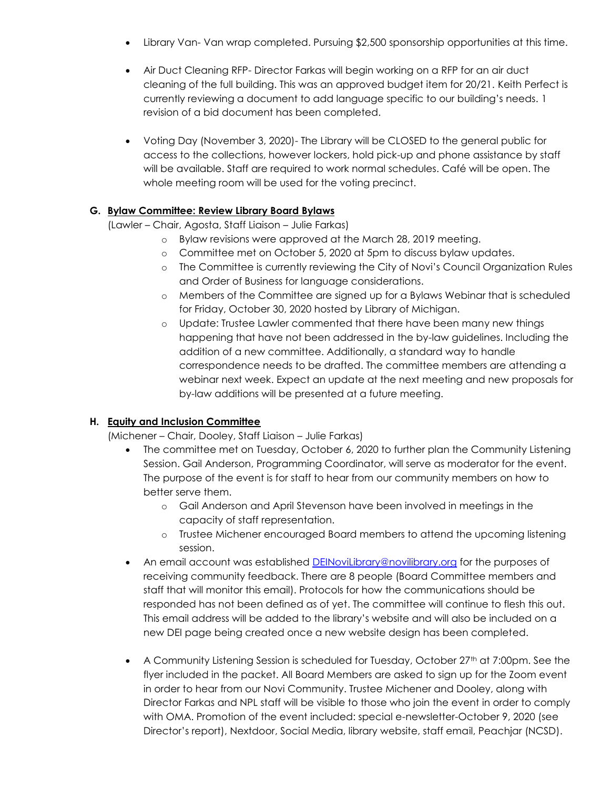- Library Van- Van wrap completed. Pursuing \$2,500 sponsorship opportunities at this time.
- Air Duct Cleaning RFP- Director Farkas will begin working on a RFP for an air duct cleaning of the full building. This was an approved budget item for 20/21. Keith Perfect is currently reviewing a document to add language specific to our building's needs. 1 revision of a bid document has been completed.
- Voting Day (November 3, 2020)- The Library will be CLOSED to the general public for access to the collections, however lockers, hold pick-up and phone assistance by staff will be available. Staff are required to work normal schedules. Café will be open. The whole meeting room will be used for the voting precinct.

# **G. Bylaw Committee: Review Library Board Bylaws**

(Lawler – Chair, Agosta, Staff Liaison – Julie Farkas)

- o Bylaw revisions were approved at the March 28, 2019 meeting.
- o Committee met on October 5, 2020 at 5pm to discuss bylaw updates.
- o The Committee is currently reviewing the City of Novi's Council Organization Rules and Order of Business for language considerations.
- o Members of the Committee are signed up for a Bylaws Webinar that is scheduled for Friday, October 30, 2020 hosted by Library of Michigan.
- o Update: Trustee Lawler commented that there have been many new things happening that have not been addressed in the by-law guidelines. Including the addition of a new committee. Additionally, a standard way to handle correspondence needs to be drafted. The committee members are attending a webinar next week. Expect an update at the next meeting and new proposals for by-law additions will be presented at a future meeting.

# **H. Equity and Inclusion Committee**

(Michener – Chair, Dooley, Staff Liaison – Julie Farkas)

- The committee met on Tuesday, October 6, 2020 to further plan the Community Listening Session. Gail Anderson, Programming Coordinator, will serve as moderator for the event. The purpose of the event is for staff to hear from our community members on how to better serve them.
	- o Gail Anderson and April Stevenson have been involved in meetings in the capacity of staff representation.
	- o Trustee Michener encouraged Board members to attend the upcoming listening session.
- An email account was established [DEINoviLibrary@novilibrary.org](mailto:DEINoviLibrary@novilibrary.org) for the purposes of receiving community feedback. There are 8 people (Board Committee members and staff that will monitor this email). Protocols for how the communications should be responded has not been defined as of yet. The committee will continue to flesh this out. This email address will be added to the library's website and will also be included on a new DEI page being created once a new website design has been completed.
- $\bullet$  A Community Listening Session is scheduled for Tuesday, October 27<sup>th</sup> at 7:00pm. See the flyer included in the packet. All Board Members are asked to sign up for the Zoom event in order to hear from our Novi Community. Trustee Michener and Dooley, along with Director Farkas and NPL staff will be visible to those who join the event in order to comply with OMA. Promotion of the event included: special e-newsletter-October 9, 2020 (see Director's report), Nextdoor, Social Media, library website, staff email, Peachjar (NCSD).